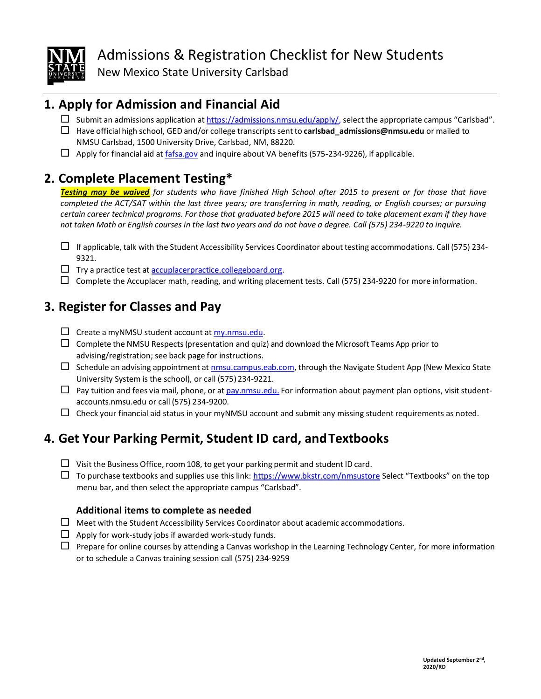

# Admissions & Registration Checklist for New Students

New Mexico State University Carlsbad

### **1. Apply for Admission and Financial Aid**

- $\square$  Submit an admissions application at [https://admissions.nmsu.edu/apply/,](https://admissions.nmsu.edu/apply/) select the appropriate campus "Carlsbad".
- Have official high school, GED and/or college transcriptssentto **[carlsbad\\_admissions@nmsu.edu](mailto:carlsbad_admissions@nmsu.edu)** or mailed to NMSU Carlsbad, 1500 University Drive, Carlsbad, NM, 88220.
- $\Box$  Apply for financial aid at [fafsa.gov](http://www.fafsa.ed.gov/) and inquire about VA benefits (575-234-9226), if applicable.

## **2. Complete Placement Testing\***

*Testing may be waived for students who have finished High School after 2015 to present or for those that have completed the ACT/SAT within the last three years; are transferring in math, reading, or English courses; or pursuing certain career technical programs. For those that graduated before 2015 will need to take placement exam if they have not taken Math or English courses in the last two years and do not have a degree. Call (575) 234-9220 to inquire.*

- $\Box$  If applicable, talk with the Student Accessibility Services Coordinator about testing accommodations. Call (575) 234-9321.
- $\Box$  Try a practice test at  $\overline{\text{accuplace}}$  practice.collegeboard.org.
- $\Box$  Complete the Accuplacer math, reading, and writing placement tests. Call (575) 234-9220 for more information.

# **3. Register for Classes and Pay**

- $\Box$  Create a myNMSU student account at [my.nmsu.edu.](https://my.nmsu.edu/)
- $\Box$  Complete the NMSU Respects (presentation and quiz) and download the Microsoft Teams App prior to advising/registration; see back page for instructions.
- $\Box$  Schedule an advising appointment at nmsu.campus.eab.com, through the Navigate Student App (New Mexico State University System is the school), or call (575) 234-9221.
- $\Box$  Pay tuition and fees via mail, phone, or at [pay.nmsu.edu.](http://pay.nmsu.edu/) For information about payment plan options, visit studentaccounts.nmsu.edu or call (575) 234-9200.
- $\Box$  Check your financial aid status in your myNMSU account and submit any missing student requirements as noted.

## **4. Get Your Parking Permit, Student ID card, andTextbooks**

- $\Box$  Visit the Business Office, room 108, to get your parking permit and student ID card.
- $\Box$  To purchase textbooks and supplies use this link[: https://www.bkstr.com/nmsustore](https://www.bkstr.com/nmsustore) Select "Textbooks" on the top menu bar, and then select the appropriate campus "Carlsbad".

### **Additional items to complete as needed**

- $\Box$  Meet with the Student Accessibility Services Coordinator about academic accommodations.
- $\Box$  Apply for work-study jobs if awarded work-study funds.
- $\Box$  Prepare for online courses by attending a Canvas workshop in the Learning Technology Center, for more information or to schedule a Canvas training session call (575) 234-9259